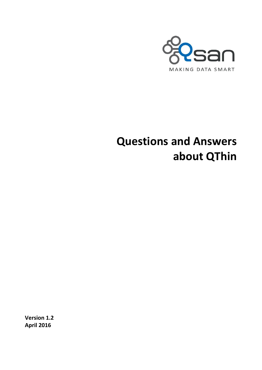

# **Questions and Answers about QThin**

**Version 1.2 April 2016**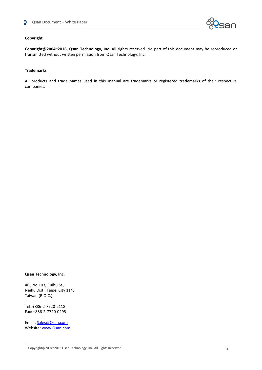

### **Copyright**

**Copyright@2004~2016, Qsan Technology, Inc.** All rights reserved. No part of this document may be reproduced or transmitted without written permission from Qsan Technology, Inc.

#### **Trademarks**

All products and trade names used in this manual are trademarks or registered trademarks of their respective companies.

#### **Qsan Technology, Inc.**

4F., No.103, Ruihu St., Neihu Dist., Taipei City 114, Taiwan (R.O.C.)

Tel: +886-2-7720-2118 Fax: +886-2-7720-0295

Email: [Sales@Qsan.com](mailto:Sales@Qsan.com) Website: [www.Qsan.com](http://www.qsan.com/)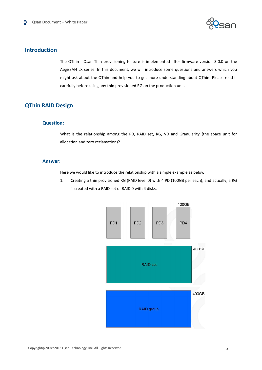

# **Introduction**

The QThin - Qsan Thin provisioning feature is implemented after firmware version 3.0.0 on the AegisSAN LX series. In this document, we will introduce some questions and answers which you might ask about the QThin and help you to get more understanding about QThin. Please read it carefully before using any thin provisioned RG on the production unit.

# **QThin RAID Design**

### **Question:**

What is the relationship among the PD, RAID set, RG, VD and Granularity (the space unit for allocation and zero reclamation)?

### **Answer:**

Here we would like to introduce the relationship with a simple example as below:

1. Creating a thin provisioned RG (RAID level 0) with 4 PD (100GB per each), and actually, a RG is created with a RAID set of RAID 0 with 4 disks.

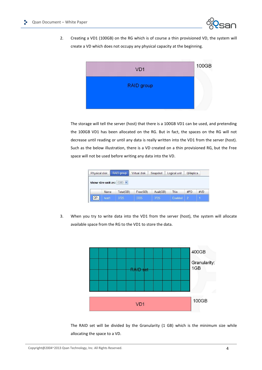

2. Creating a VD1 (100GB) on the RG which is of course a thin provisioned VD, the system will create a VD which does not occupy any physical capacity at the beginning.



The storage will tell the server (host) that there is a 100GB VD1 can be used, and pretending the 100GB VD1 has been allocated on the RG. But in fact, the spaces on the RG will not decrease until reading or until any data is really written into the VD1 from the server (host). Such as the below illustration, there is a VD created on a thin provisioned RG, but the Free space will not be used before writing any data into the VD.

| Physical disk             |       | RAID group | Virtual disk | Snapshot  | Logical unit | <b>QReplica</b> |     |
|---------------------------|-------|------------|--------------|-----------|--------------|-----------------|-----|
| Show size unit as: (GB) v |       |            |              |           |              |                 |     |
|                           | Name  | Total(GB)  | Free(GB)     | Avail(GB) | Thin         | #PD             | #VD |
| OP.                       | test1 | 3725       | 3725         | 3725      | Enabled      | $\overline{2}$  |     |

3. When you try to write data into the VD1 from the server (host), the system will allocate available space from the RG to the VD1 to store the data.



The RAID set will be divided by the Granularity (1 GB) which is the minimum size while allocating the space to a VD.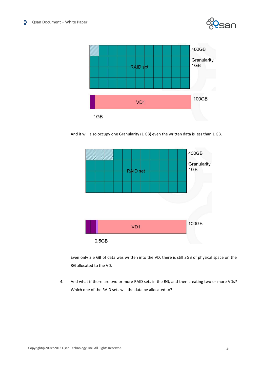



And it will also occupy one Granularity (1 GB) even the written data is less than 1 GB.



Even only 2.5 GB of data was written into the VD, there is still 3GB of physical space on the RG allocated to the VD.

4. And what if there are two or more RAID sets in the RG, and then creating two or more VDs? Which one of the RAID sets will the data be allocated to?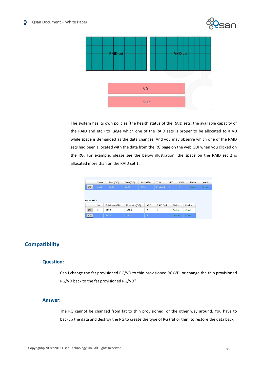



The system has its own policies (the health status of the RAID sets, the available capacity of the RAID and etc.) to judge which one of the RAID sets is proper to be allocated to a VD while space is demanded as the data changes. And you may observe which one of the RAID sets had been allocated with the data from the RG page on the web GUI when you clicked on the RG. For example, please see the below illustration, the space on the RAID set 2 is allocated more than on the RAID set 1.

|                  | Name         | Total(GB)      | Free(GB)      | Avail(GB)      | Thin      | #PD            | #VD        | <b>Status</b> | Health |
|------------------|--------------|----------------|---------------|----------------|-----------|----------------|------------|---------------|--------|
| OP.              | test1        | 7450           | 7429          | 7431           | Enabled   | $\overline{4}$ | $\sqrt{2}$ | Online        | Good   |
|                  |              |                |               |                |           |                |            |               |        |
|                  |              |                |               |                |           |                |            |               |        |
|                  |              |                |               |                |           |                |            |               |        |
| <b>RAID Set:</b> |              |                |               |                |           |                |            |               |        |
|                  | No.          | Total size(GB) | Free size(GB) | #PD            | RAID Cell | <b>Status</b>  |            | Health        |        |
| OP.              | $\mathbf{1}$ | 3725           | 3725          | $\overline{c}$ | 1         | Online         |            | Good          |        |

# **Compatibility**

### **Question:**

Can I change the fat provisioned RG/VD to thin provisioned RG/VD, or change the thin provisioned RG/VD back to the fat provisioned RG/VD?

### **Answer:**

The RG cannot be changed from fat to thin provisioned, or the other way around. You have to backup the data and destroy the RG to create the type of RG (fat or thin) to restore the data back.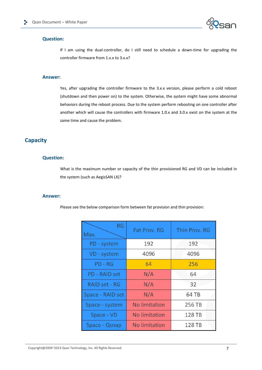

### **Question:**

If I am using the dual-controller, do I still need to schedule a down-time for upgrading the controller firmware from 1.x.x to 3.x.x?

### **Answer:**

Yes, after upgrading the controller firmware to the 3.x.x version, please perform a cold reboot (shutdown and then power on) to the system. Otherwise, the system might have some abnormal behaviors during the reboot process. Due to the system perform rebooting on one controller after another which will cause the controllers with firmware 1.0.x and 3.0.x exist on the system at the same time and cause the problem.

# **Capacity**

### **Question:**

What is the maximum number or capacity of the thin provisioned RG and VD can be included in the system (such as AegisSAN LX)?

### **Answer:**

Please see the below comparison form between fat provision and thin provision:

| <b>RG</b><br>Max. | Fat Prov. RG         | Thin Prov. RG |
|-------------------|----------------------|---------------|
| PD - system       | 192                  | 192           |
| VD - system       | 4096                 | 4096          |
| PD - RG           | 64                   | 256           |
| PD - RAID set     | N/A                  | 64            |
| RAID set - RG     | N/A                  | 32            |
| Space - RAID set  | N/A                  | 64 TB         |
| Space - system    | No limitation        | 256 TB        |
| Space - VD        | <b>No limitation</b> | 128 TB        |
| Space - Qsnap     | No limitation        | 128 TB        |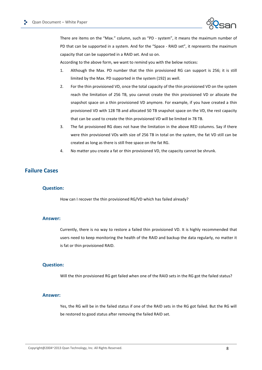

There are items on the "Max." column, such as "PD - system", it means the maximum number of PD that can be supported in a system. And for the "Space - RAID set", it represents the maximum capacity that can be supported in a RAID set. And so on.

According to the above form, we want to remind you with the below notices:

- 1. Although the Max. PD number that the thin provisioned RG can support is 256; it is still limited by the Max. PD supported in the system (192) as well.
- 2. For the thin provisioned VD, once the total capacity of the thin provisioned VD on the system reach the limitation of 256 TB, you cannot create the thin provisioned VD or allocate the snapshot space on a thin provisioned VD anymore. For example, if you have created a thin provisioned VD with 128 TB and allocated 50 TB snapshot space on the VD, the rest capacity that can be used to create the thin provisioned VD will be limited in 78 TB.
- 3. The fat provisioned RG does not have the limitation in the above RED columns. Say if there were thin provisioned VDs with size of 256 TB in total on the system, the fat VD still can be created as long as there is still free space on the fat RG.
- 4. No matter you create a fat or thin provisioned VD, the capacity cannot be shrunk.

### **Failure Cases**

### **Question:**

How can I recover the thin provisioned RG/VD which has failed already?

### **Answer:**

Currently, there is no way to restore a failed thin provisioned VD. It is highly recommended that users need to keep monitoring the health of the RAID and backup the data regularly, no matter it is fat or thin provisioned RAID.

### **Question:**

Will the thin provisioned RG get failed when one of the RAID sets in the RG got the failed status?

### **Answer:**

Yes, the RG will be in the failed status if one of the RAID sets in the RG got failed. But the RG will be restored to good status after removing the failed RAID set.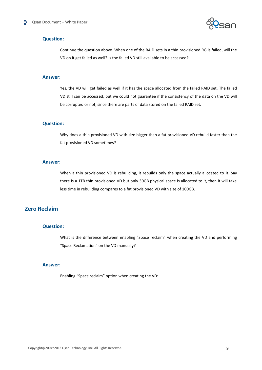

### **Question:**

Continue the question above. When one of the RAID sets in a thin provisioned RG is failed, will the VD on it get failed as well? Is the failed VD still available to be accessed?

### **Answer:**

Yes, the VD will get failed as well if it has the space allocated from the failed RAID set. The failed VD still can be accessed, but we could not guarantee if the consistency of the data on the VD will be corrupted or not, since there are parts of data stored on the failed RAID set.

### **Question:**

Why does a thin provisioned VD with size bigger than a fat provisioned VD rebuild faster than the fat provisioned VD sometimes?

### **Answer:**

When a thin provisioned VD is rebuilding, it rebuilds only the space actually allocated to it. Say there is a 1TB thin provisioned VD but only 30GB physical space is allocated to it, then it will take less time in rebuilding compares to a fat provisioned VD with size of 100GB.

# **Zero Reclaim**

### **Question:**

What is the difference between enabling "Space reclaim" when creating the VD and performing "Space Reclamation" on the VD manually?

### **Answer:**

Enabling "Space reclaim" option when creating the VD: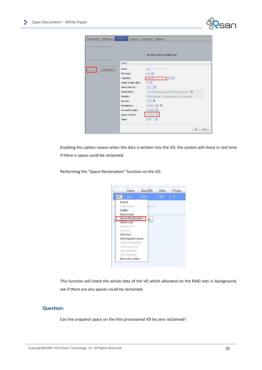

Enabling this option means when the data is written into the VD, the system will check in real time if there is space could be reclaimed.

Performing the "Space Reclamation" function on the VD:



This function will check the whole data of the VD which allocated on the RAID sets in background, see if there are any spaces could be reclaimed.

### **Question:**

Can the snapshot space on the thin provisioned VD be zero reclaimed?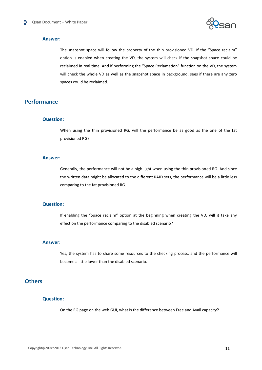

### **Answer:**

The snapshot space will follow the property of the thin provisioned VD. If the "Space reclaim" option is enabled when creating the VD, the system will check if the snapshot space could be reclaimed in real time. And if performing the "Space Reclamation" function on the VD, the system will check the whole VD as well as the snapshot space in background, sees if there are any zero spaces could be reclaimed.

### **Performance**

### **Question:**

When using the thin provisioned RG, will the performance be as good as the one of the fat provisioned RG?

### **Answer:**

Generally, the performance will not be a high light when using the thin provisioned RG. And since the written data might be allocated to the different RAID sets, the performance will be a little less comparing to the fat provisioned RG.

### **Question:**

If enabling the "Space reclaim" option at the beginning when creating the VD, will it take any effect on the performance comparing to the disabled scenario?

### **Answer:**

Yes, the system has to share some resources to the checking process, and the performance will become a little lower than the disabled scenario.

# **Others**

### **Question:**

On the RG page on the web GUI, what is the difference between Free and Avail capacity?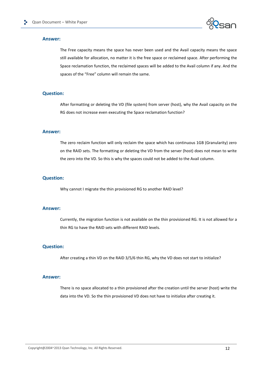

### **Answer:**

The Free capacity means the space has never been used and the Avail capacity means the space still available for allocation, no matter it is the free space or reclaimed space. After performing the Space reclamation function, the reclaimed spaces will be added to the Avail column if any. And the spaces of the "Free" column will remain the same.

### **Question:**

After formatting or deleting the VD (file system) from server (host), why the Avail capacity on the RG does not increase even executing the Space reclamation function?

### **Answer:**

The zero reclaim function will only reclaim the space which has continuous 1GB (Granularity) zero on the RAID sets. The formatting or deleting the VD from the server (host) does not mean to write the zero into the VD. So this is why the spaces could not be added to the Avail column.

### **Question:**

Why cannot I migrate the thin provisioned RG to another RAID level?

### **Answer:**

Currently, the migration function is not available on the thin provisioned RG. It is not allowed for a thin RG to have the RAID sets with different RAID levels.

### **Question:**

After creating a thin VD on the RAID 3/5/6 thin RG, why the VD does not start to initialize?

### **Answer:**

There is no space allocated to a thin provisioned after the creation until the server (host) write the data into the VD. So the thin provisioned VD does not have to initialize after creating it.